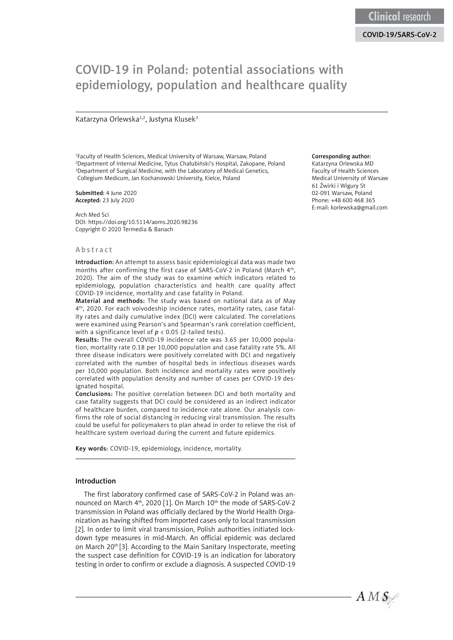# COVID-19 in Poland: potential associations with epidemiology, population and healthcare quality

# Katarzyna Orlewska<sup>1,2</sup>, Justyna Klusek<sup>3</sup>

1 Faculty of Health Sciences, Medical University of Warsaw, Warsaw, Poland 2 Department of Internal Medicine, Tytus Chałubiński's Hospital, Zakopane, Poland <sup>3</sup>Department of Surgical Medicine, with the Laboratory of Medical Genetics, Collegium Medicum, Jan Kochanowski University, Kielce, Poland

Submitted: 4 June 2020 Accepted: 23 July 2020

Arch Med Sci DOI: https://doi.org/10.5114/aoms.2020.98236 Copyright © 2020 Termedia & Banach

## Abstract

Introduction: An attempt to assess basic epidemiological data was made two months after confirming the first case of SARS-CoV-2 in Poland (March 4<sup>th</sup>, 2020). The aim of the study was to examine which indicators related to epidemiology, population characteristics and health care quality affect COVID-19 incidence, mortality and case fatality in Poland.

Material and methods: The study was based on national data as of May 4th, 2020. For each voivodeship incidence rates, mortality rates, case fatality rates and daily cumulative index (DCI) were calculated. The correlations were examined using Pearson's and Spearman's rank correlation coefficient, with a significance level of *p* < 0.05 (2-tailed tests).

Results: The overall COVID-19 incidence rate was 3.65 per 10,000 population, mortality rate 0.18 per 10,000 population and case fatality rate 5%. All three disease indicators were positively correlated with DCI and negatively correlated with the number of hospital beds in infectious diseases wards per 10,000 population. Both incidence and mortality rates were positively correlated with population density and number of cases per COVID-19 designated hospital.

Conclusions: The positive correlation between DCI and both mortality and case fatality suggests that DCI could be considered as an indirect indicator of healthcare burden, compared to incidence rate alone. Our analysis confirms the role of social distancing in reducing viral transmission. The results could be useful for policymakers to plan ahead in order to relieve the risk of healthcare system overload during the current and future epidemics.

Key words: COVID-19, epidemiology, incidence, mortality.

## Introduction

The first laboratory confirmed case of SARS-CoV-2 in Poland was announced on March 4<sup>th</sup>, 2020 [1]. On March 10<sup>th</sup> the mode of SARS-CoV-2 transmission in Poland was officially declared by the World Health Organization as having shifted from imported cases only to local transmission [2]. In order to limit viral transmission, Polish authorities initiated lockdown type measures in mid-March. An official epidemic was declared on March 20<sup>th</sup> [3]. According to the Main Sanitary Inspectorate, meeting the suspect case definition for COVID-19 is an indication for laboratory testing in order to confirm or exclude a diagnosis. A suspected COVID-19

#### Corresponding author:

Katarzyna Orlewska MD Faculty of Health Sciences Medical University of Warsaw 61 Żwirki i Wigury St 02-091 Warsaw, Poland Phone: +48 600 468 365 E-mail: korlewska@gmail.com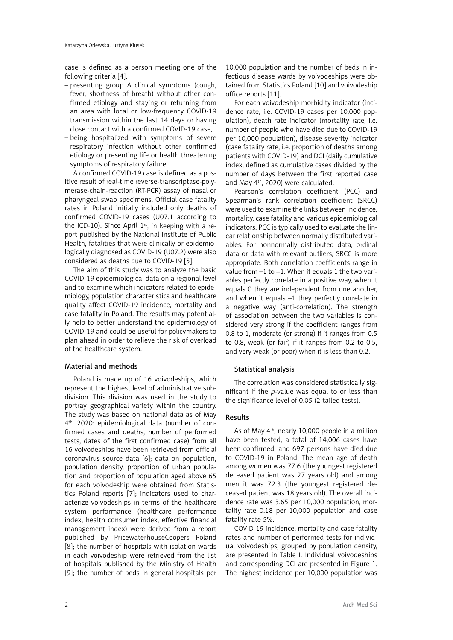case is defined as a person meeting one of the following criteria [4]:

- presenting group A clinical symptoms (cough, fever, shortness of breath) without other confirmed etiology and staying or returning from an area with local or low-frequency COVID-19 transmission within the last 14 days or having close contact with a confirmed COVID-19 case,
- being hospitalized with symptoms of severe respiratory infection without other confirmed etiology or presenting life or health threatening symptoms of respiratory failure.

A confirmed COVID-19 case is defined as a positive result of real-time reverse-transcriptase-polymerase-chain-reaction (RT-PCR) assay of nasal or pharyngeal swab specimens. Official case fatality rates in Poland initially included only deaths of confirmed COVID-19 cases (U07.1 according to the ICD-10). Since April  $1<sup>st</sup>$ , in keeping with a report published by the National Institute of Public Health, fatalities that were clinically or epidemiologically diagnosed as COVID-19 (U07.2) were also considered as deaths due to COVID-19 [5].

The aim of this study was to analyze the basic COVID-19 epidemiological data on a regional level and to examine which indicators related to epidemiology, population characteristics and healthcare quality affect COVID-19 incidence, mortality and case fatality in Poland. The results may potentially help to better understand the epidemiology of COVID-19 and could be useful for policymakers to plan ahead in order to relieve the risk of overload of the healthcare system.

# Material and methods

Poland is made up of 16 voivodeships, which represent the highest level of administrative subdivision. This division was used in the study to portray geographical variety within the country. The study was based on national data as of May 4th, 2020: epidemiological data (number of confirmed cases and deaths, number of performed tests, dates of the first confirmed case) from all 16 voivodeships have been retrieved from official coronavirus source data [6]; data on population, population density, proportion of urban population and proportion of population aged above 65 for each voivodeship were obtained from Statistics Poland reports [7]; indicators used to characterize voivodeships in terms of the healthcare system performance (healthcare performance index, health consumer index, effective financial management index) were derived from a report published by PricewaterhouseCoopers Poland [8]: the number of hospitals with isolation wards in each voivodeship were retrieved from the list of hospitals published by the Ministry of Health [9]; the number of beds in general hospitals per

10,000 population and the number of beds in infectious disease wards by voivodeships were obtained from Statistics Poland [10] and voivodeship office reports [11].

For each voivodeship morbidity indicator (incidence rate, i.e. COVID-19 cases per 10,000 population), death rate indicator (mortality rate, i.e. number of people who have died due to COVID-19 per 10,000 population), disease severity indicator (case fatality rate, i.e. proportion of deaths among patients with COVID-19) and DCI (daily cumulative index, defined as cumulative cases divided by the number of days between the first reported case and May 4th, 2020) were calculated.

Pearson's correlation coefficient (PCC) and Spearman's rank correlation coefficient (SRCC) were used to examine the links between incidence, mortality, case fatality and various epidemiological indicators. PCC is typically used to evaluate the linear relationship between normally distributed variables. For nonnormally distributed data, ordinal data or data with relevant outliers, SRCC is more appropriate. Both correlation coefficients range in value from  $-1$  to  $+1$ . When it equals 1 the two variables perfectly correlate in a positive way, when it equals 0 they are independent from one another, and when it equals –1 they perfectly correlate in a negative way (anti-correlation). The strength of association between the two variables is considered very strong if the coefficient ranges from 0.8 to 1, moderate (or strong) if it ranges from 0.5 to 0.8, weak (or fair) if it ranges from 0.2 to 0.5, and very weak (or poor) when it is less than 0.2.

# Statistical analysis

The correlation was considered statistically significant if the *p*-value was equal to or less than the significance level of 0.05 (2-tailed tests).

# Results

As of May 4th, nearly 10,000 people in a million have been tested, a total of 14,006 cases have been confirmed, and 697 persons have died due to COVID-19 in Poland. The mean age of death among women was 77.6 (the youngest registered deceased patient was 27 years old) and among men it was 72.3 (the youngest registered deceased patient was 18 years old). The overall incidence rate was 3.65 per 10,000 population, mortality rate 0.18 per 10,000 population and case fatality rate 5%.

COVID-19 incidence, mortality and case fatality rates and number of performed tests for individual voivodeships, grouped by population density, are presented in Table I. Individual voivodeships and corresponding DCI are presented in Figure 1. The highest incidence per 10,000 population was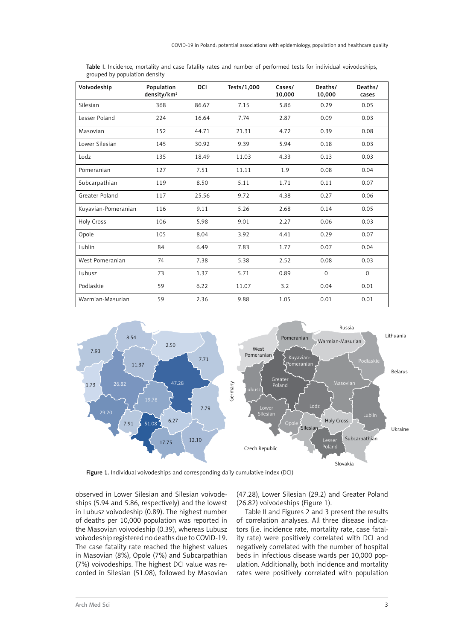| Voivodeship         | Population<br>density/km <sup>2</sup> | DCI   | Tests/1,000 | Cases/<br>10,000 | Deaths/<br>10,000 | Deaths/<br>cases |
|---------------------|---------------------------------------|-------|-------------|------------------|-------------------|------------------|
| Silesian            | 368                                   | 86.67 | 7.15        | 5.86             | 0.29              | 0.05             |
| Lesser Poland       | 224                                   | 16.64 | 7.74        | 2.87             | 0.09              | 0.03             |
| Masovian            | 152                                   | 44.71 | 21.31       | 4.72             | 0.39              | 0.08             |
| Lower Silesian      | 145                                   | 30.92 | 9.39        | 5.94             | 0.18              | 0.03             |
| Lodz                | 135                                   | 18.49 | 11.03       | 4.33             | 0.13              | 0.03             |
| Pomeranian          | 127                                   | 7.51  | 11.11       | 1.9              | 0.08              | 0.04             |
| Subcarpathian       | 119                                   | 8.50  | 5.11        | 1.71             | 0.11              | 0.07             |
| Greater Poland      | 117                                   | 25.56 | 9.72        | 4.38             | 0.27              | 0.06             |
| Kuyavian-Pomeranian | 116                                   | 9.11  | 5.26        | 2.68             | 0.14              | 0.05             |
| Holy Cross          | 106                                   | 5.98  | 9.01        | 2.27             | 0.06              | 0.03             |
| Opole               | 105                                   | 8.04  | 3.92        | 4.41             | 0.29              | 0.07             |
| Lublin              | 84                                    | 6.49  | 7.83        | 1.77             | 0.07              | 0.04             |
| West Pomeranian     | 74                                    | 7.38  | 5.38        | 2.52             | 0.08              | 0.03             |
| Lubusz              | 73                                    | 1.37  | 5.71        | 0.89             | $\Omega$          | $\Omega$         |
| Podlaskie           | 59                                    | 6.22  | 11.07       | 3.2              | 0.04              | 0.01             |
| Warmian-Masurian    | 59                                    | 2.36  | 9.88        | 1.05             | 0.01              | 0.01             |

Table I. Incidence, mortality and case fatality rates and number of performed tests for individual voivodeships, grouped by population density



Figure 1. Individual voivodeships and corresponding daily cumulative index (DCI)

observed in Lower Silesian and Silesian voivodeships (5.94 and 5.86, respectively) and the lowest in Lubusz voivodeship (0.89). The highest number of deaths per 10,000 population was reported in the Masovian voivodeship (0.39), whereas Lubusz voivodeship registered no deaths due to COVID-19. The case fatality rate reached the highest values in Masovian (8%), Opole (7%) and Subcarpathian (7%) voivodeships. The highest DCI value was recorded in Silesian (51.08), followed by Masovian

(47.28), Lower Silesian (29.2) and Greater Poland (26.82) voivodeships (Figure 1).

Table II and Figures 2 and 3 present the results of correlation analyses. All three disease indicators (i.e. incidence rate, mortality rate, case fatality rate) were positively correlated with DCI and negatively correlated with the number of hospital beds in infectious disease wards per 10,000 population. Additionally, both incidence and mortality rates were positively correlated with population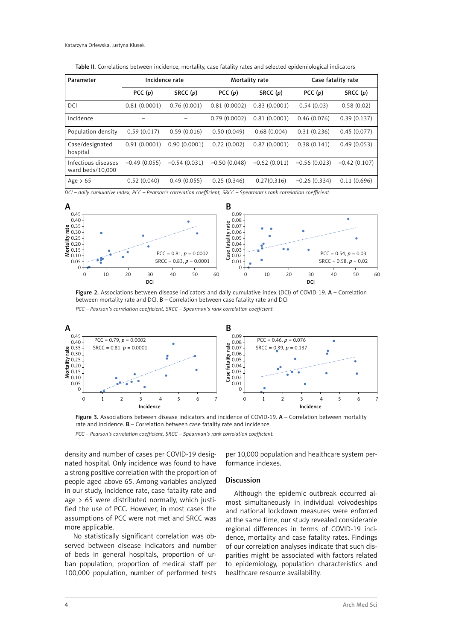Table II. Correlations between incidence, mortality, case fatality rates and selected epidemiological indicators

| Parameter                               | Incidence rate |                | Mortality rate |                | Case fatality rate |                |
|-----------------------------------------|----------------|----------------|----------------|----------------|--------------------|----------------|
|                                         | PCC $(p)$      | SRCC $(p)$     | PCC $(p)$      | SRCC $(p)$     | PCC $(p)$          | SRCC $(p)$     |
| DCI                                     | 0.81(0.0001)   | 0.76(0.001)    | 0.81(0.0002)   | 0.83(0.0001)   | 0.54(0.03)         | 0.58(0.02)     |
| Incidence                               |                |                | 0.79(0.0002)   | 0.81(0.0001)   | 0.46(0.076)        | 0.39(0.137)    |
| Population density                      | 0.59(0.017)    | 0.59(0.016)    | 0.50(0.049)    | 0.68(0.004)    | 0.31(0.236)        | 0.45(0.077)    |
| Case/designated<br>hospital             | 0.91(0.0001)   | 0.90(0.0001)   | 0.72(0.002)    | 0.87(0.0001)   | 0.38(0.141)        | 0.49(0.053)    |
| Infectious diseases<br>ward beds/10,000 | $-0.49(0.055)$ | $-0.54(0.031)$ | $-0.50(0.048)$ | $-0.62(0.011)$ | $-0.56(0.023)$     | $-0.42(0.107)$ |
| Age $> 65$                              | 0.52(0.040)    | 0.49(0.055)    | 0.25(0.346)    | 0.27(0.316)    | $-0.26(0.334)$     | 0.11(0.696)    |

*DCI – daily cumulative index, PCC – Pearson's correlation coefficient, SRCC – Spearman's rank correlation coefficient.* 



Figure 2. Associations between disease indicators and daily cumulative index (DCI) of COVID-19.  $A -$ Correlation between mortality rate and DCI. B – Correlation between case fatality rate and DCI

*PCC – Pearson's correlation coefficient, SRCC – Spearman's rank correlation coefficient.*



Figure 3. Associations between disease indicators and incidence of COVID-19. A - Correlation between mortality rate and incidence. B – Correlation between case fatality rate and incidence *PCC – Pearson's correlation coefficient, SRCC – Spearman's rank correlation coefficient.*

density and number of cases per COVID-19 designated hospital. Only incidence was found to have a strong positive correlation with the proportion of people aged above 65. Among variables analyzed in our study, incidence rate, case fatality rate and age > 65 were distributed normally, which justified the use of PCC. However, in most cases the assumptions of PCC were not met and SRCC was more applicable.

No statistically significant correlation was observed between disease indicators and number of beds in general hospitals, proportion of urban population, proportion of medical staff per 100,000 population, number of performed tests

per 10,000 population and healthcare system performance indexes.

## Discussion

Although the epidemic outbreak occurred almost simultaneously in individual voivodeships and national lockdown measures were enforced at the same time, our study revealed considerable regional differences in terms of COVID-19 incidence, mortality and case fatality rates. Findings of our correlation analyses indicate that such disparities might be associated with factors related to epidemiology, population characteristics and healthcare resource availability.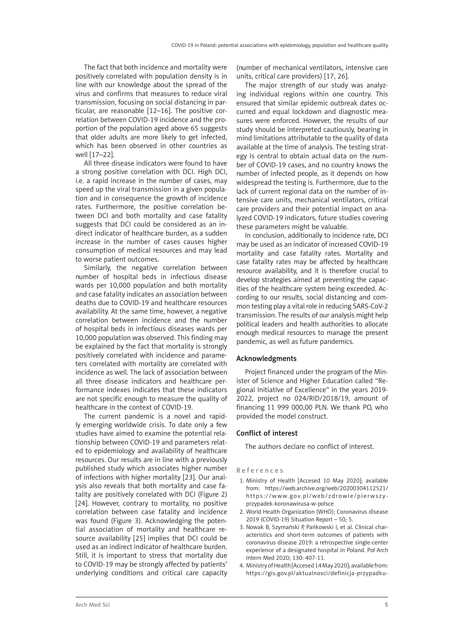The fact that both incidence and mortality were positively correlated with population density is in line with our knowledge about the spread of the virus and confirms that measures to reduce viral transmission, focusing on social distancing in particular, are reasonable [12–16]. The positive correlation between COVID-19 incidence and the proportion of the population aged above 65 suggests that older adults are more likely to get infected, which has been observed in other countries as well [17–22].

All three disease indicators were found to have a strong positive correlation with DCI. High DCI, i.e. a rapid increase in the number of cases, may speed up the viral transmission in a given population and in consequence the growth of incidence rates. Furthermore, the positive correlation between DCI and both mortality and case fatality suggests that DCI could be considered as an indirect indicator of healthcare burden, as a sudden increase in the number of cases causes higher consumption of medical resources and may lead to worse patient outcomes.

Similarly, the negative correlation between number of hospital beds in infectious disease wards per 10,000 population and both mortality and case fatality indicates an association between deaths due to COVID-19 and healthcare resources availability. At the same time, however, a negative correlation between incidence and the number of hospital beds in infectious diseases wards per 10,000 population was observed. This finding may be explained by the fact that mortality is strongly positively correlated with incidence and parameters correlated with mortality are correlated with incidence as well. The lack of association between all three disease indicators and healthcare performance indexes indicates that these indicators are not specific enough to measure the quality of healthcare in the context of COVID-19.

The current pandemic is a novel and rapidly emerging worldwide crisis. To date only a few studies have aimed to examine the potential relationship between COVID-19 and parameters related to epidemiology and availability of healthcare resources. Our results are in line with a previously published study which associates higher number of infections with higher mortality [23]. Our analysis also reveals that both mortality and case fatality are positively correlated with DCI (Figure 2) [24]. However, contrary to mortality, no positive correlation between case fatality and incidence was found (Figure 3). Acknowledging the potential association of mortality and healthcare resource availability [25] implies that DCI could be used as an indirect indicator of healthcare burden. Still, it is important to stress that mortality due to COVID-19 may be strongly affected by patients' underlying conditions and critical care capacity

(number of mechanical ventilators, intensive care units, critical care providers) [17, 26].

The major strength of our study was analyzing individual regions within one country. This ensured that similar epidemic outbreak dates occurred and equal lockdown and diagnostic measures were enforced. However, the results of our study should be interpreted cautiously, bearing in mind limitations attributable to the quality of data available at the time of analysis. The testing strategy is central to obtain actual data on the number of COVID-19 cases, and no country knows the number of infected people, as it depends on how widespread the testing is. Furthermore, due to the lack of current regional data on the number of intensive care units, mechanical ventilators, critical care providers and their potential impact on analyzed COVID-19 indicators, future studies covering these parameters might be valuable.

In conclusion, additionally to incidence rate, DCI may be used as an indicator of increased COVID-19 mortality and case fatality rates. Mortality and case fatality rates may be affected by healthcare resource availability, and it is therefore crucial to develop strategies aimed at preventing the capacities of the healthcare system being exceeded. According to our results, social distancing and common testing play a vital role in reducing SARS-CoV-2 transmission. The results of our analysis might help political leaders and health authorities to allocate enough medical resources to manage the present pandemic, as well as future pandemics.

# Acknowledgments

Project financed under the program of the Minister of Science and Higher Education called "Regional Initiative of Excellence" in the years 2019- 2022, project no 024/RID/2018/19, amount of financing 11 999 000,00 PLN. We thank PO, who provided the model construct.

## Conflict of interest

The authors declare no conflict of interest.

## References

- 1. Ministry of Health [Accesed 10 May 2020]; available from: https://web.archive.org/web/20200304112521/ https://www.gov.pl/web/zdrowie/pierwszyprzypadek-koronawirusa-w-polsce
- 2. World Health Organization (WHO); Coronavirus disease 2019 (COVID-19) Situation Report – 50; 5.
- 3. Nowak B, Szymański P, Pańkowski I, et al. Clinical characteristics and short-term outcomes of patients with coronavirus disease 2019: a retrospective single-center experience of a designated hospital in Poland. Pol Arch Intern Med 2020; 130: 407-11.
- 4. Ministry of Health [Accesed 14 May 2020]; available from: https://gis.gov.pl/aktualnosci/definicja-przypadku-